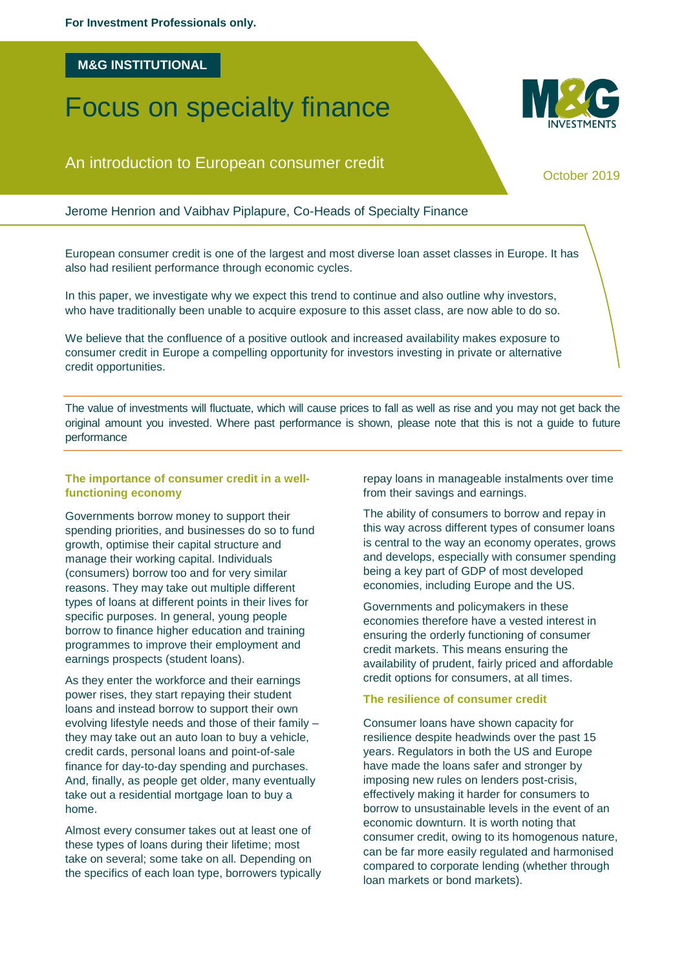### **M&G INSTITUTIONAL**

# Focus on specialty finance

## An introduction to European consumer credit

October 2019

Jerome Henrion and Vaibhav Piplapure, Co-Heads of Specialty Finance

European consumer credit is one of the largest and most diverse loan asset classes in Europe. It has also had resilient performance through economic cycles.

In this paper, we investigate why we expect this trend to continue and also outline why investors, who have traditionally been unable to acquire exposure to this asset class, are now able to do so.

We believe that the confluence of a positive outlook and increased availability makes exposure to consumer credit in Europe a compelling opportunity for investors investing in private or alternative credit opportunities.

The value of investments will fluctuate, which will cause prices to fall as well as rise and you may not get back the original amount you invested. Where past performance is shown, please note that this is not a guide to future performance

#### **The importance of consumer credit in a wellfunctioning economy**

Governments borrow money to support their spending priorities, and businesses do so to fund growth, optimise their capital structure and manage their working capital. Individuals (consumers) borrow too and for very similar reasons. They may take out multiple different types of loans at different points in their lives for specific purposes. In general, young people borrow to finance higher education and training programmes to improve their employment and earnings prospects (student loans).

As they enter the workforce and their earnings power rises, they start repaying their student loans and instead borrow to support their own evolving lifestyle needs and those of their family – they may take out an auto loan to buy a vehicle, credit cards, personal loans and point-of-sale finance for day-to-day spending and purchases. And, finally, as people get older, many eventually take out a residential mortgage loan to buy a home.

Almost every consumer takes out at least one of these types of loans during their lifetime; most take on several; some take on all. Depending on the specifics of each loan type, borrowers typically repay loans in manageable instalments over time from their savings and earnings.

The ability of consumers to borrow and repay in this way across different types of consumer loans is central to the way an economy operates, grows and develops, especially with consumer spending being a key part of GDP of most developed economies, including Europe and the US.

Governments and policymakers in these economies therefore have a vested interest in ensuring the orderly functioning of consumer credit markets. This means ensuring the availability of prudent, fairly priced and affordable credit options for consumers, at all times.

### **The resilience of consumer credit**

Consumer loans have shown capacity for resilience despite headwinds over the past 15 years. Regulators in both the US and Europe have made the loans safer and stronger by imposing new rules on lenders post-crisis, effectively making it harder for consumers to borrow to unsustainable levels in the event of an economic downturn. It is worth noting that consumer credit, owing to its homogenous nature, can be far more easily regulated and harmonised compared to corporate lending (whether through loan markets or bond markets).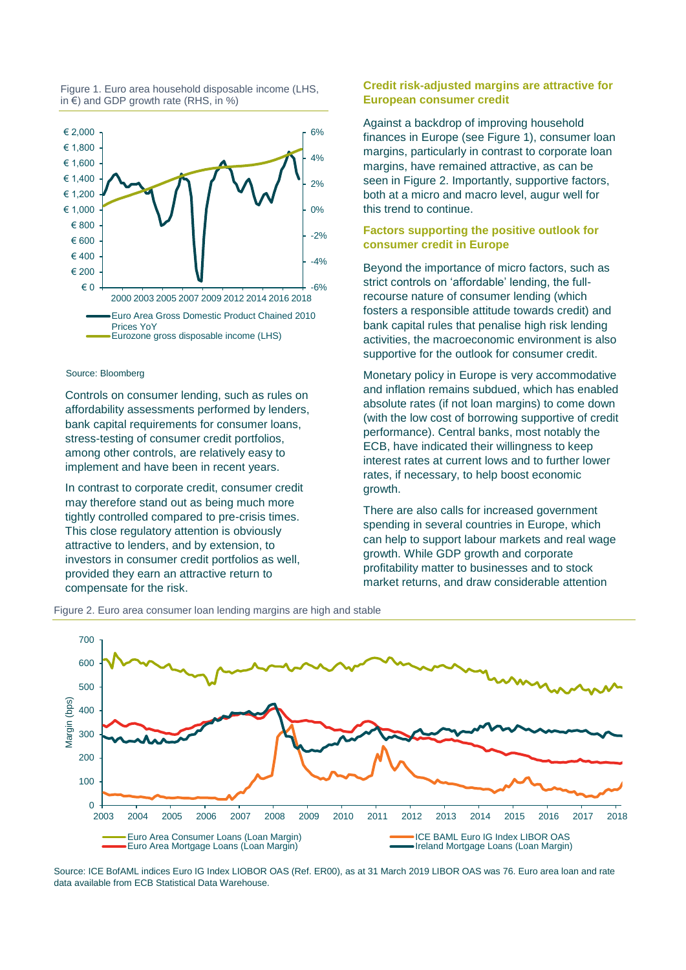



#### Source: Bloomberg

Controls on consumer lending, such as rules on affordability assessments performed by lenders, bank capital requirements for consumer loans, stress-testing of consumer credit portfolios, among other controls, are relatively easy to implement and have been in recent years.

In contrast to corporate credit, consumer credit may therefore stand out as being much more tightly controlled compared to pre-crisis times. This close regulatory attention is obviously attractive to lenders, and by extension, to investors in consumer credit portfolios as well, provided they earn an attractive return to compensate for the risk.

#### **Credit risk-adjusted margins are attractive for European consumer credit**

Against a backdrop of improving household finances in Europe (see Figure 1), consumer loan margins, particularly in contrast to corporate loan margins, have remained attractive, as can be seen in Figure 2. Importantly, supportive factors, both at a micro and macro level, augur well for this trend to continue.

#### **Factors supporting the positive outlook for consumer credit in Europe**

Beyond the importance of micro factors, such as strict controls on 'affordable' lending, the fullrecourse nature of consumer lending (which fosters a responsible attitude towards credit) and bank capital rules that penalise high risk lending activities, the macroeconomic environment is also supportive for the outlook for consumer credit.

Monetary policy in Europe is very accommodative and inflation remains subdued, which has enabled absolute rates (if not loan margins) to come down (with the low cost of borrowing supportive of credit performance). Central banks, most notably the ECB, have indicated their willingness to keep interest rates at current lows and to further lower rates, if necessary, to help boost economic growth.

There are also calls for increased government spending in several countries in Europe, which can help to support labour markets and real wage growth. While GDP growth and corporate profitability matter to businesses and to stock market returns, and draw considerable attention



Figure 2. Euro area consumer loan lending margins are high and stable

Source: ICE BofAML indices Euro IG Index LIOBOR OAS (Ref. ER00), as at 31 March 2019 LIBOR OAS was 76. Euro area loan and rate data available from ECB Statistical Data Warehouse.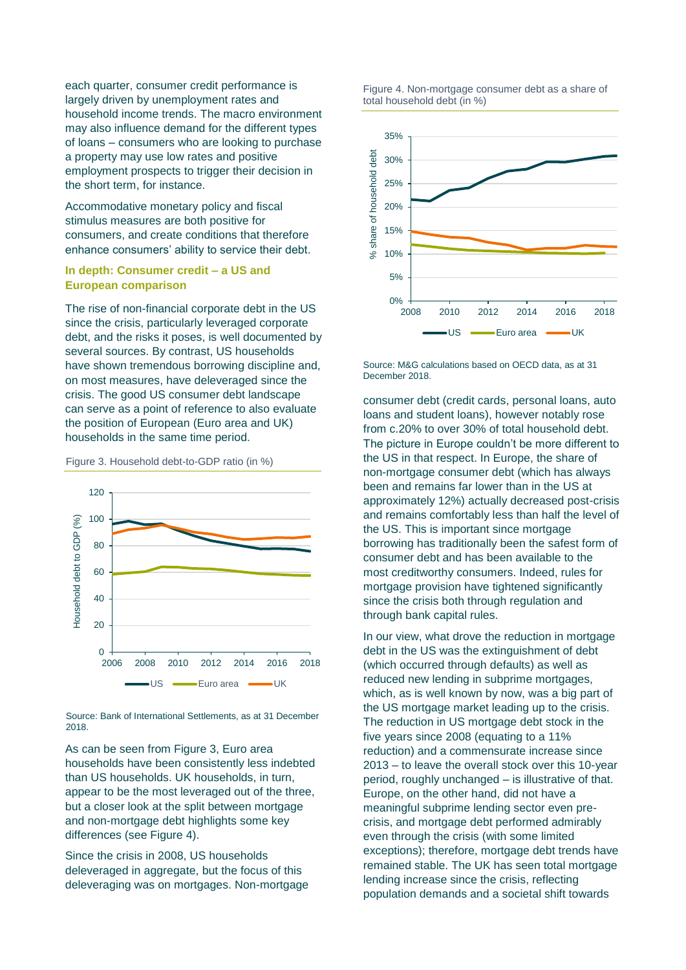each quarter, consumer credit performance is largely driven by unemployment rates and household income trends. The macro environment may also influence demand for the different types of loans – consumers who are looking to purchase a property may use low rates and positive employment prospects to trigger their decision in the short term, for instance.

Accommodative monetary policy and fiscal stimulus measures are both positive for consumers, and create conditions that therefore enhance consumers' ability to service their debt.

#### **In depth: Consumer credit – a US and European comparison**

The rise of non-financial corporate debt in the US since the crisis, particularly leveraged corporate debt, and the risks it poses, is well documented by several sources. By contrast, US households have shown tremendous borrowing discipline and, on most measures, have deleveraged since the crisis. The good US consumer debt landscape can serve as a point of reference to also evaluate the position of European (Euro area and UK) households in the same time period.



Figure 3. Household debt-to-GDP ratio (in %)

Source: Bank of International Settlements, as at 31 December 2018.

As can be seen from Figure 3, Euro area households have been consistently less indebted than US households. UK households, in turn, appear to be the most leveraged out of the three, but a closer look at the split between mortgage and non-mortgage debt highlights some key differences (see Figure 4).

Since the crisis in 2008, US households deleveraged in aggregate, but the focus of this deleveraging was on mortgages. Non-mortgage

Figure 4. Non-mortgage consumer debt as a share of total household debt (in %)



Source: M&G calculations based on OECD data, as at 31 December 2018.

consumer debt (credit cards, personal loans, auto loans and student loans), however notably rose from c.20% to over 30% of total household debt. The picture in Europe couldn't be more different to the US in that respect. In Europe, the share of non-mortgage consumer debt (which has always been and remains far lower than in the US at approximately 12%) actually decreased post-crisis and remains comfortably less than half the level of the US. This is important since mortgage borrowing has traditionally been the safest form of consumer debt and has been available to the most creditworthy consumers. Indeed, rules for mortgage provision have tightened significantly since the crisis both through regulation and through bank capital rules.

In our view, what drove the reduction in mortgage debt in the US was the extinguishment of debt (which occurred through defaults) as well as reduced new lending in subprime mortgages, which, as is well known by now, was a big part of the US mortgage market leading up to the crisis. The reduction in US mortgage debt stock in the five years since 2008 (equating to a 11% reduction) and a commensurate increase since 2013 – to leave the overall stock over this 10-year period, roughly unchanged – is illustrative of that. Europe, on the other hand, did not have a meaningful subprime lending sector even precrisis, and mortgage debt performed admirably even through the crisis (with some limited exceptions); therefore, mortgage debt trends have remained stable. The UK has seen total mortgage lending increase since the crisis, reflecting population demands and a societal shift towards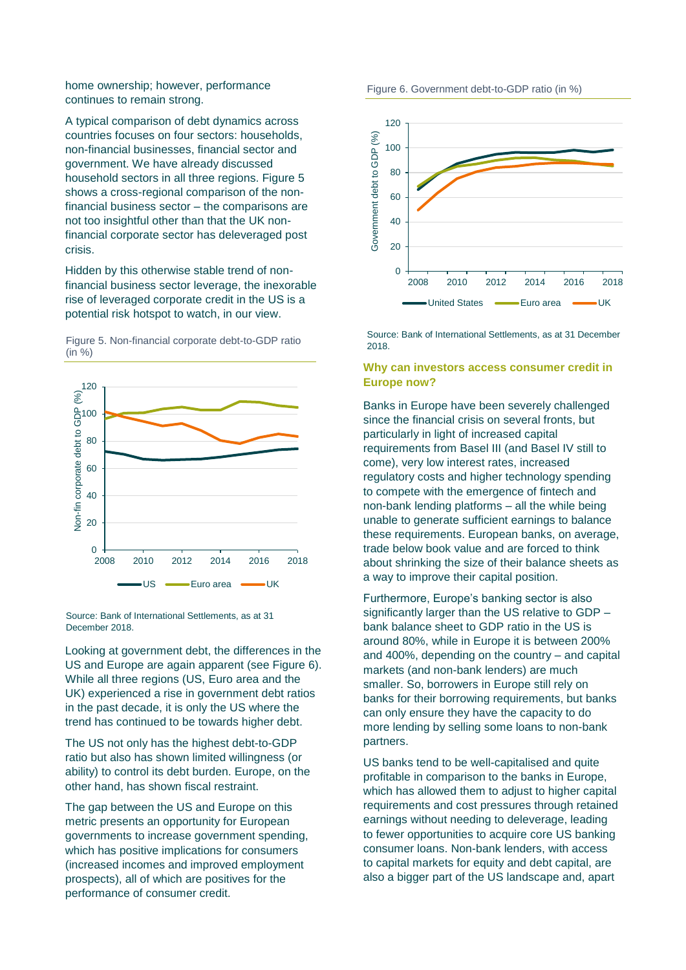home ownership; however, performance continues to remain strong.

A typical comparison of debt dynamics across countries focuses on four sectors: households, non-financial businesses, financial sector and government. We have already discussed household sectors in all three regions. Figure 5 shows a cross-regional comparison of the nonfinancial business sector – the comparisons are not too insightful other than that the UK nonfinancial corporate sector has deleveraged post crisis.

Hidden by this otherwise stable trend of nonfinancial business sector leverage, the inexorable rise of leveraged corporate credit in the US is a potential risk hotspot to watch, in our view.

Figure 5. Non-financial corporate debt-to-GDP ratio (in %)



Source: Bank of International Settlements, as at 31 December 2018.

Looking at government debt, the differences in the US and Europe are again apparent (see Figure 6). While all three regions (US, Euro area and the UK) experienced a rise in government debt ratios in the past decade, it is only the US where the trend has continued to be towards higher debt.

The US not only has the highest debt-to-GDP ratio but also has shown limited willingness (or ability) to control its debt burden. Europe, on the other hand, has shown fiscal restraint.

The gap between the US and Europe on this metric presents an opportunity for European governments to increase government spending, which has positive implications for consumers (increased incomes and improved employment prospects), all of which are positives for the performance of consumer credit.





Source: Bank of International Settlements, as at 31 December 2018.

#### **Why can investors access consumer credit in Europe now?**

Banks in Europe have been severely challenged since the financial crisis on several fronts, but particularly in light of increased capital requirements from Basel III (and Basel IV still to come), very low interest rates, increased regulatory costs and higher technology spending to compete with the emergence of fintech and non-bank lending platforms – all the while being unable to generate sufficient earnings to balance these requirements. European banks, on average, trade below book value and are forced to think about shrinking the size of their balance sheets as a way to improve their capital position.

Furthermore, Europe's banking sector is also significantly larger than the US relative to GDP – bank balance sheet to GDP ratio in the US is around 80%, while in Europe it is between 200% and 400%, depending on the country – and capital markets (and non-bank lenders) are much smaller. So, borrowers in Europe still rely on banks for their borrowing requirements, but banks can only ensure they have the capacity to do more lending by selling some loans to non-bank partners.

US banks tend to be well-capitalised and quite profitable in comparison to the banks in Europe, which has allowed them to adjust to higher capital requirements and cost pressures through retained earnings without needing to deleverage, leading to fewer opportunities to acquire core US banking consumer loans. Non-bank lenders, with access to capital markets for equity and debt capital, are also a bigger part of the US landscape and, apart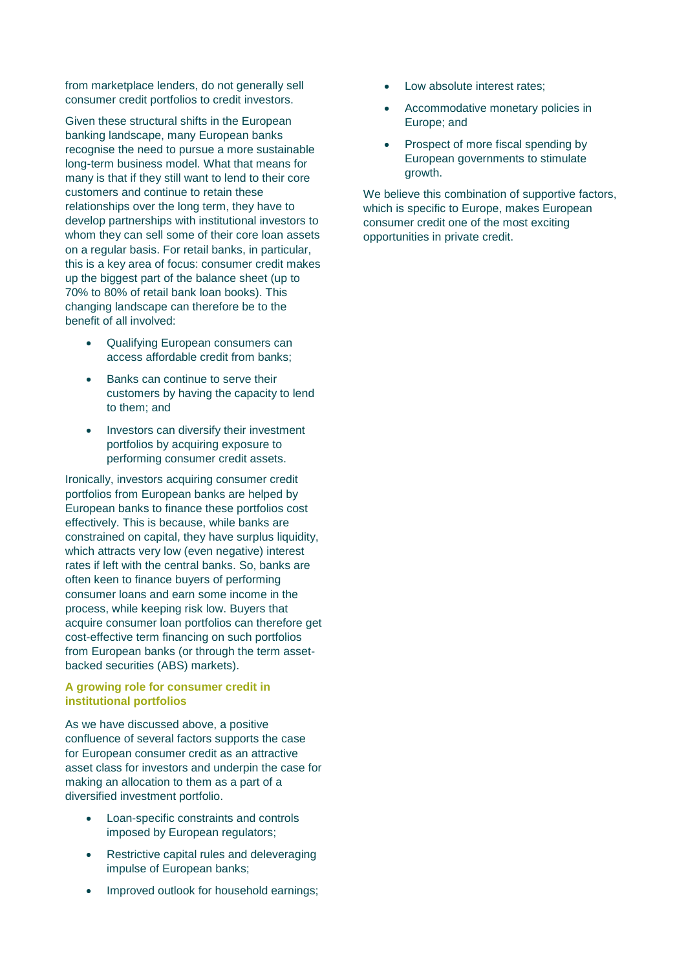from marketplace lenders, do not generally sell consumer credit portfolios to credit investors.

Given these structural shifts in the European banking landscape, many European banks recognise the need to pursue a more sustainable long-term business model. What that means for many is that if they still want to lend to their core customers and continue to retain these relationships over the long term, they have to develop partnerships with institutional investors to whom they can sell some of their core loan assets on a regular basis. For retail banks, in particular, this is a key area of focus: consumer credit makes up the biggest part of the balance sheet (up to 70% to 80% of retail bank loan books). This changing landscape can therefore be to the benefit of all involved:

- Qualifying European consumers can access affordable credit from banks;
- Banks can continue to serve their customers by having the capacity to lend to them; and
- Investors can diversify their investment portfolios by acquiring exposure to performing consumer credit assets.

Ironically, investors acquiring consumer credit portfolios from European banks are helped by European banks to finance these portfolios cost effectively. This is because, while banks are constrained on capital, they have surplus liquidity, which attracts very low (even negative) interest rates if left with the central banks. So, banks are often keen to finance buyers of performing consumer loans and earn some income in the process, while keeping risk low. Buyers that acquire consumer loan portfolios can therefore get cost-effective term financing on such portfolios from European banks (or through the term assetbacked securities (ABS) markets).

#### **A growing role for consumer credit in institutional portfolios**

As we have discussed above, a positive confluence of several factors supports the case for European consumer credit as an attractive asset class for investors and underpin the case for making an allocation to them as a part of a diversified investment portfolio.

- Loan-specific constraints and controls imposed by European regulators;
- Restrictive capital rules and deleveraging impulse of European banks;
- Improved outlook for household earnings;
- Low absolute interest rates:
- Accommodative monetary policies in Europe; and
- Prospect of more fiscal spending by European governments to stimulate growth.

We believe this combination of supportive factors, which is specific to Europe, makes European consumer credit one of the most exciting opportunities in private credit.